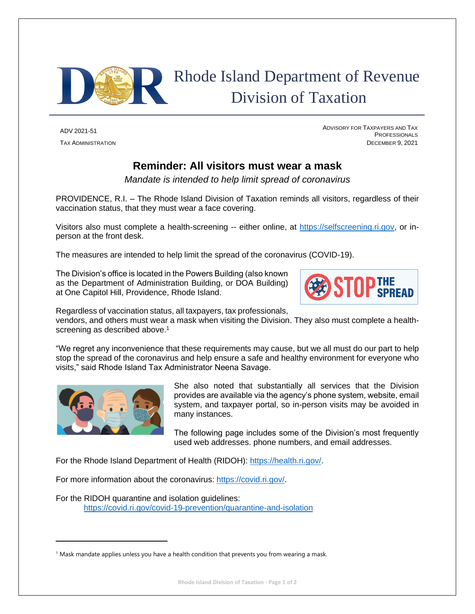

## Rhode Island Department of Revenue Division of Taxation

ADV 2021-51 <sup>A</sup>DVISORY FOR TAXPAYERS AND TAX **PROFESSIONALS** TAX ADMINISTRATION DECEMBER 9, 2021

## **Reminder: All visitors must wear a mask**

*Mandate is intended to help limit spread of coronavirus*

PROVIDENCE, R.I. – The Rhode Island Division of Taxation reminds all visitors, regardless of their vaccination status, that they must wear a face covering.

Visitors also must complete a health-screening -- either online, at [https://selfscreening.ri.gov,](https://selfscreening.ri.gov/) or inperson at the front desk.

The measures are intended to help limit the spread of the coronavirus (COVID-19).

The Division's office is located in the Powers Building (also known as the Department of Administration Building, or DOA Building) at One Capitol Hill, Providence, Rhode Island.



Regardless of vaccination status, all taxpayers, tax professionals,

vendors, and others must wear a mask when visiting the Division. They also must complete a healthscreening as described above.<sup>1</sup>

"We regret any inconvenience that these requirements may cause, but we all must do our part to help stop the spread of the coronavirus and help ensure a safe and healthy environment for everyone who visits," said Rhode Island Tax Administrator Neena Savage.



She also noted that substantially all services that the Division provides are available via the agency's phone system, website, email system, and taxpayer portal, so in-person visits may be avoided in many instances.

The following page includes some of the Division's most frequently used web addresses. phone numbers, and email addresses.

For the Rhode Island Department of Health (RIDOH): [https://health.ri.gov/.](https://health.ri.gov/)

For more information about the coronavirus: [https://covid.ri.gov/.](https://covid.ri.gov/)

For the RIDOH quarantine and isolation guidelines: <https://covid.ri.gov/covid-19-prevention/quarantine-and-isolation>

 $<sup>1</sup>$  Mask mandate applies unless you have a health condition that prevents you from wearing a mask.</sup>